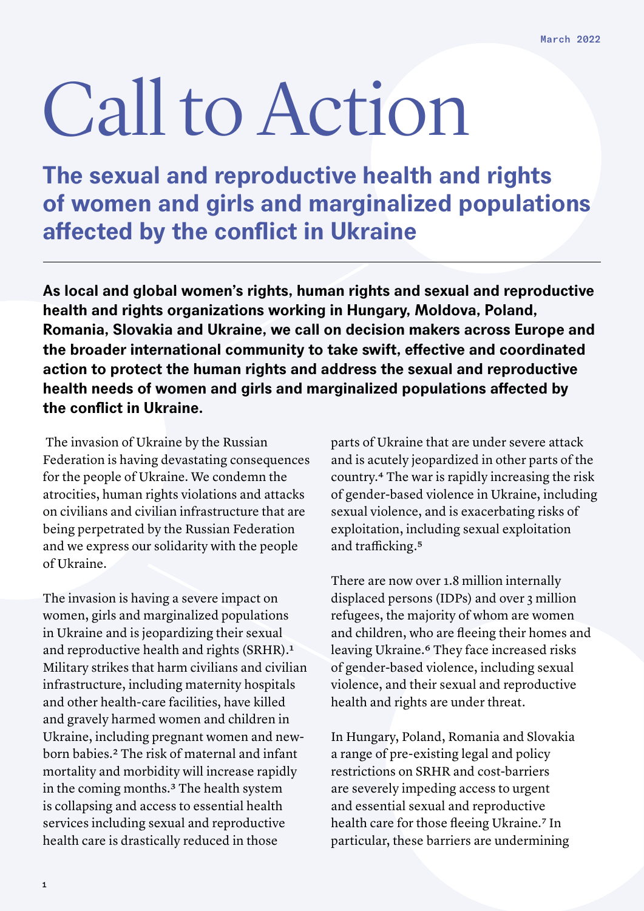## Call to Action

**The sexual and reproductive health and rights of women and girls and marginalized populations affected by the conflict in Ukraine**

**As local and global women's rights, human rights and sexual and reproductive health and rights organizations working in Hungary, Moldova, Poland, Romania, Slovakia and Ukraine, we call on decision makers across Europe and the broader international community to take swift, effective and coordinated action to protect the human rights and address the sexual and reproductive health needs of women and girls and marginalized populations affected by the conflict in Ukraine.** 

 The invasion of Ukraine by the Russian Federation is having devastating consequences for the people of Ukraine. We condemn the atrocities, human rights violations and attacks on civilians and civilian infrastructure that are being perpetrated by the Russian Federation and we express our solidarity with the people of Ukraine.

The invasion is having a severe impact on women, girls and marginalized populations in Ukraine and is jeopardizing their sexual and reproductive health and rights (SRHR).1 Military strikes that harm civilians and civilian infrastructure, including maternity hospitals and other health-care facilities, have killed and gravely harmed women and children in Ukraine, including pregnant women and newborn babies.2 The risk of maternal and infant mortality and morbidity will increase rapidly in the coming months.3 The health system is collapsing and access to essential health services including sexual and reproductive health care is drastically reduced in those

parts of Ukraine that are under severe attack and is acutely jeopardized in other parts of the country.4 The war is rapidly increasing the risk of gender-based violence in Ukraine, including sexual violence, and is exacerbating risks of exploitation, including sexual exploitation and trafficking.5

There are now over 1.8 million internally displaced persons (IDPs) and over 3 million refugees, the majority of whom are women and children, who are fleeing their homes and leaving Ukraine.<sup>6</sup> They face increased risks of gender-based violence, including sexual violence, and their sexual and reproductive health and rights are under threat.

In Hungary, Poland, Romania and Slovakia a range of pre-existing legal and policy restrictions on SRHR and cost-barriers are severely impeding access to urgent and essential sexual and reproductive health care for those fleeing Ukraine.7 In particular, these barriers are undermining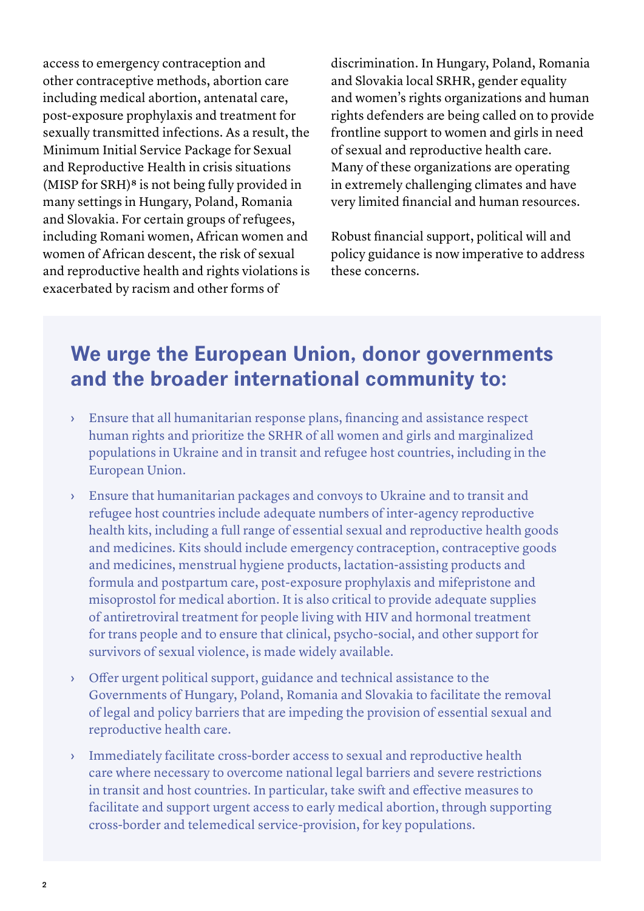access to emergency contraception and other contraceptive methods, abortion care including medical abortion, antenatal care, post-exposure prophylaxis and treatment for sexually transmitted infections. As a result, the Minimum Initial Service Package for Sexual and Reproductive Health in crisis situations (MISP for SRH)8 is not being fully provided in many settings in Hungary, Poland, Romania and Slovakia. For certain groups of refugees, including Romani women, African women and women of African descent, the risk of sexual and reproductive health and rights violations is exacerbated by racism and other forms of

discrimination. In Hungary, Poland, Romania and Slovakia local SRHR, gender equality and women's rights organizations and human rights defenders are being called on to provide frontline support to women and girls in need of sexual and reproductive health care. Many of these organizations are operating in extremely challenging climates and have very limited financial and human resources.

Robust financial support, political will and policy guidance is now imperative to address these concerns.

## **We urge the European Union, donor governments and the broader international community to:**

- › Ensure that all humanitarian response plans, financing and assistance respect human rights and prioritize the SRHR of all women and girls and marginalized populations in Ukraine and in transit and refugee host countries, including in the European Union.
- › Ensure that humanitarian packages and convoys to Ukraine and to transit and refugee host countries include adequate numbers of inter-agency reproductive health kits, including a full range of essential sexual and reproductive health goods and medicines. Kits should include emergency contraception, contraceptive goods and medicines, menstrual hygiene products, lactation-assisting products and formula and postpartum care, post-exposure prophylaxis and mifepristone and misoprostol for medical abortion. It is also critical to provide adequate supplies of antiretroviral treatment for people living with HIV and hormonal treatment for trans people and to ensure that clinical, psycho-social, and other support for survivors of sexual violence, is made widely available.
- › Offer urgent political support, guidance and technical assistance to the Governments of Hungary, Poland, Romania and Slovakia to facilitate the removal of legal and policy barriers that are impeding the provision of essential sexual and reproductive health care.
- › Immediately facilitate cross-border access to sexual and reproductive health care where necessary to overcome national legal barriers and severe restrictions in transit and host countries. In particular, take swift and effective measures to facilitate and support urgent access to early medical abortion, through supporting cross-border and telemedical service-provision, for key populations.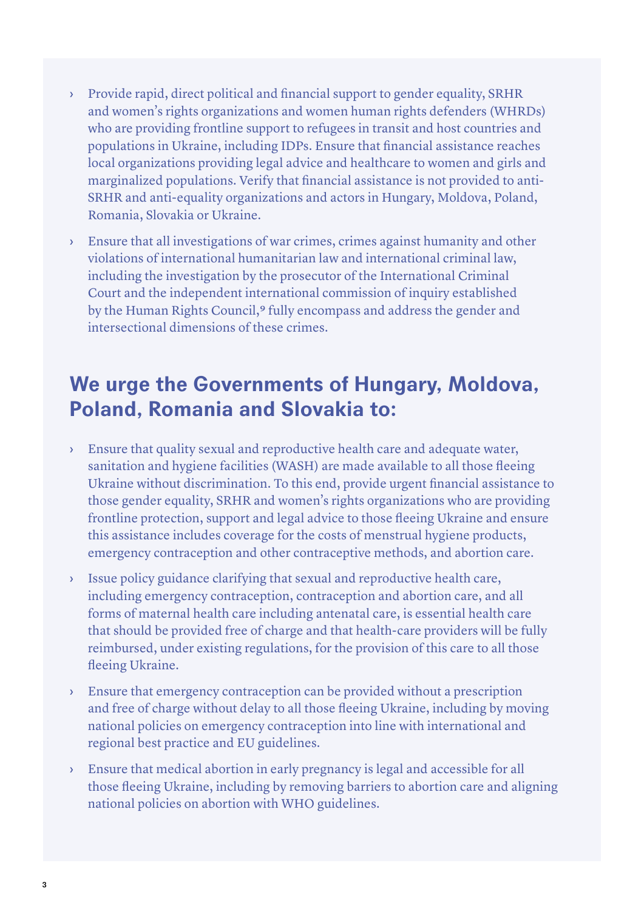- › Provide rapid, direct political and financial support to gender equality, SRHR and women's rights organizations and women human rights defenders (WHRDs) who are providing frontline support to refugees in transit and host countries and populations in Ukraine, including IDPs. Ensure that financial assistance reaches local organizations providing legal advice and healthcare to women and girls and marginalized populations. Verify that financial assistance is not provided to anti-SRHR and anti-equality organizations and actors in Hungary, Moldova, Poland, Romania, Slovakia or Ukraine.
- › Ensure that all investigations of war crimes, crimes against humanity and other violations of international humanitarian law and international criminal law, including the investigation by the prosecutor of the International Criminal Court and the independent international commission of inquiry established by the Human Rights Council,<sup>9</sup> fully encompass and address the gender and intersectional dimensions of these crimes.

## **We urge the Governments of Hungary, Moldova, Poland, Romania and Slovakia to:**

- › Ensure that quality sexual and reproductive health care and adequate water, sanitation and hygiene facilities (WASH) are made available to all those fleeing Ukraine without discrimination. To this end, provide urgent financial assistance to those gender equality, SRHR and women's rights organizations who are providing frontline protection, support and legal advice to those fleeing Ukraine and ensure this assistance includes coverage for the costs of menstrual hygiene products, emergency contraception and other contraceptive methods, and abortion care.
- › Issue policy guidance clarifying that sexual and reproductive health care, including emergency contraception, contraception and abortion care, and all forms of maternal health care including antenatal care, is essential health care that should be provided free of charge and that health-care providers will be fully reimbursed, under existing regulations, for the provision of this care to all those fleeing Ukraine.
- › Ensure that emergency contraception can be provided without a prescription and free of charge without delay to all those fleeing Ukraine, including by moving national policies on emergency contraception into line with international and regional best practice and EU guidelines.
- › Ensure that medical abortion in early pregnancy is legal and accessible for all those fleeing Ukraine, including by removing barriers to abortion care and aligning national policies on abortion with WHO guidelines.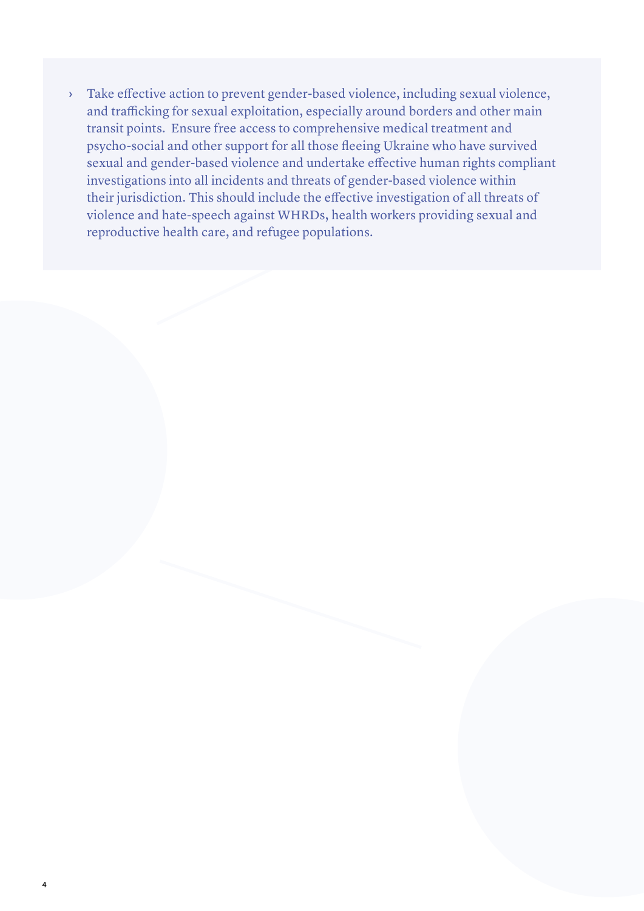I Take effective action to prevent gender-based violence, including sexual violence, and trafficking for sexual exploitation, especially around borders and other main transit points. Ensure free access to comprehensive med and trafficking for sexual exploitation, especially around borders and other main transit points. Ensure free access to comprehensive medical treatment and psycho-social and other support for all those fleeing Ukraine who have survived sexual and gender-based violence and undertake effective human rights compliant investigations into all incidents and threats of gender-based violence within their jurisdiction. This should include the effective investigation of all threats of violence and hate-speech against WHRDs, health workers providing sexual and reproductive health care, and refugee populations.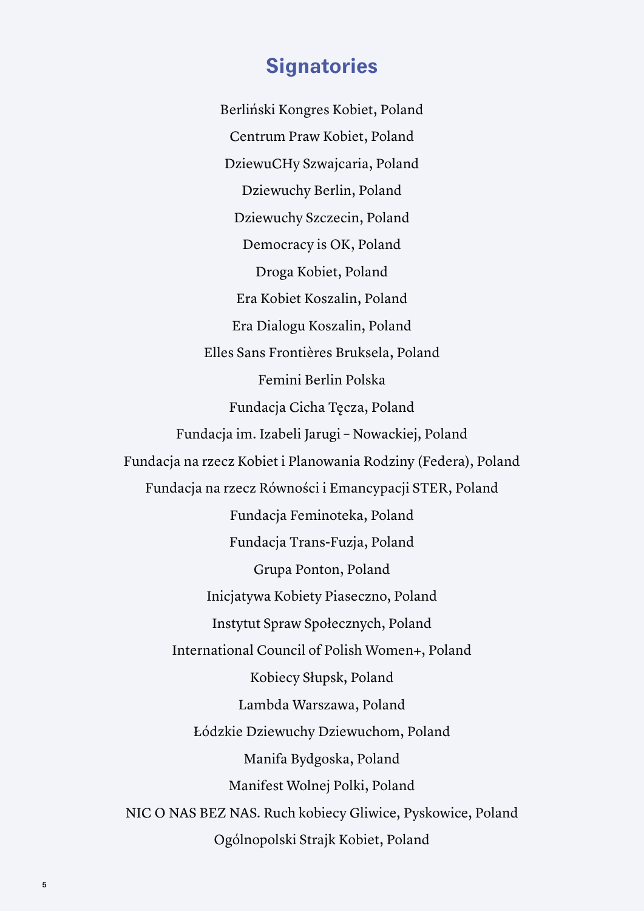## **Signatories**

Berliński Kongres Kobiet, Poland Centrum Praw Kobiet, Poland DziewuCHy Szwajcaria, Poland Dziewuchy Berlin, Poland Dziewuchy Szczecin, Poland Democracy is OK, Poland Droga Kobiet, Poland Era Kobiet Koszalin, Poland Era Dialogu Koszalin, Poland Elles Sans Frontières Bruksela, Poland Femini Berlin Polska Fundacja Cicha Tęcza, Poland Fundacja im. Izabeli Jarugi – Nowackiej, Poland Fundacja na rzecz Kobiet i Planowania Rodziny (Federa), Poland Fundacja na rzecz Równości i Emancypacji STER, Poland Fundacja Feminoteka, Poland Fundacja Trans-Fuzja, Poland Grupa Ponton, Poland Inicjatywa Kobiety Piaseczno, Poland Instytut Spraw Społecznych, Poland International Council of Polish Women+, Poland Kobiecy Słupsk, Poland Lambda Warszawa, Poland Łódzkie Dziewuchy Dziewuchom, Poland Manifa Bydgoska, Poland Manifest Wolnej Polki, Poland NIC O NAS BEZ NAS. Ruch kobiecy Gliwice, Pyskowice, Poland Ogólnopolski Strajk Kobiet, Poland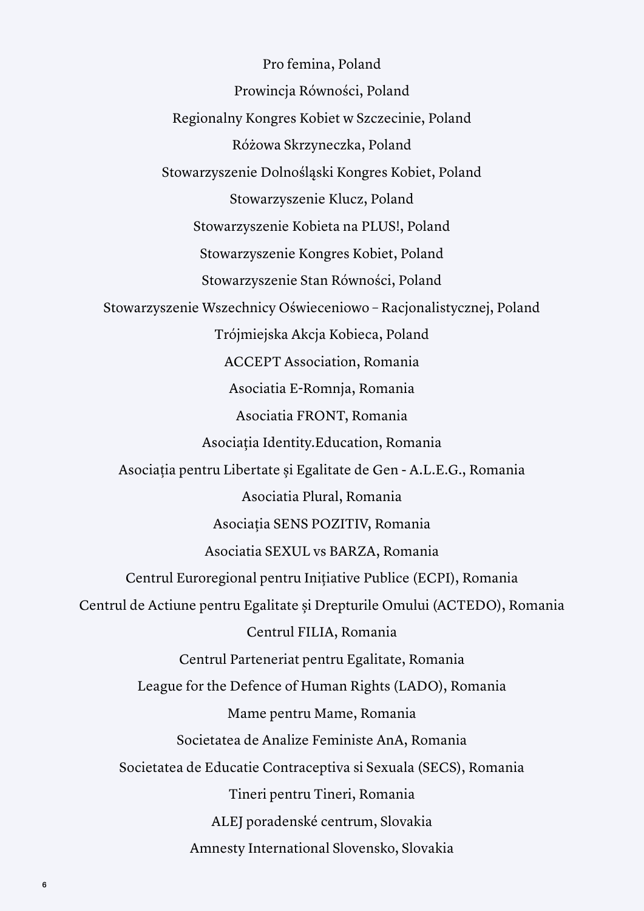Pro femina, Poland Prowincja Równości, Poland Regionalny Kongres Kobiet w Szczecinie, Poland Różowa Skrzyneczka, Poland Stowarzyszenie Dolnośląski Kongres Kobiet, Poland Stowarzyszenie Klucz, Poland Stowarzyszenie Kobieta na PLUS!, Poland Stowarzyszenie Kongres Kobiet, Poland Stowarzyszenie Stan Równości, Poland Stowarzyszenie Wszechnicy Oświeceniowo – Racjonalistycznej, Poland Trójmiejska Akcja Kobieca, Poland ACCEPT Association, Romania Asociatia E-Romnja, Romania Asociatia FRONT, Romania Asociația Identity.Education, Romania Asociația pentru Libertate și Egalitate de Gen - A.L.E.G., Romania Asociatia Plural, Romania Asociația SENS POZITIV, Romania Asociatia SEXUL vs BARZA, Romania Centrul Euroregional pentru Initiative Publice (ECPI), Romania Centrul de Actiune pentru Egalitate și Drepturile Omului (ACTEDO), Romania Centrul FILIA, Romania Centrul Parteneriat pentru Egalitate, Romania League for the Defence of Human Rights (LADO), Romania Mame pentru Mame, Romania Societatea de Analize Feministe AnA, Romania Societatea de Educatie Contraceptiva si Sexuala (SECS), Romania Tineri pentru Tineri, Romania ALEJ poradenské centrum, Slovakia Amnesty International Slovensko, Slovakia

6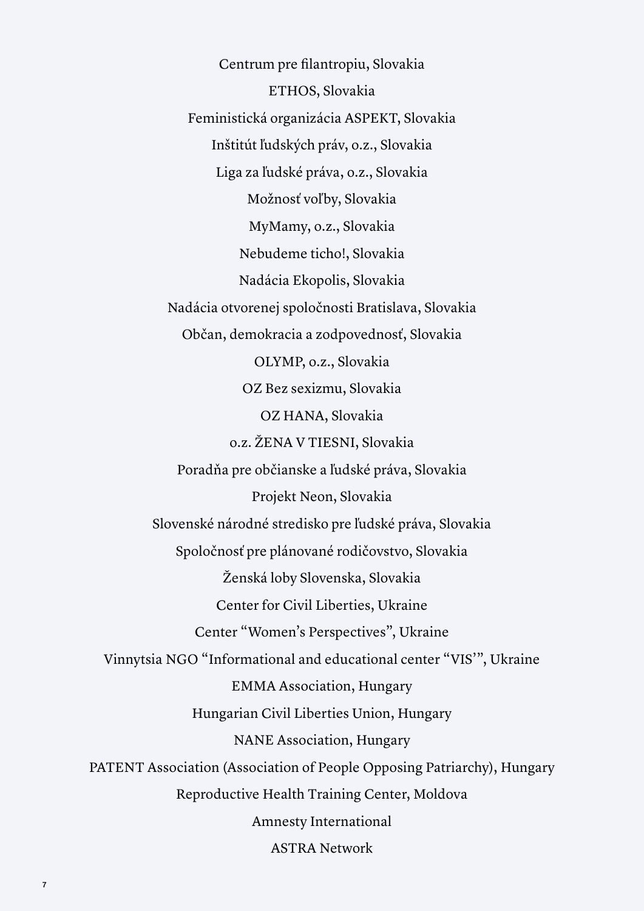Centrum pre filantropiu, Slovakia ETHOS, Slovakia Feministická organizácia ASPEKT, Slovakia Inštitút ľudských práv, o.z., Slovakia Liga za ľudské práva, o.z., Slovakia Možnosť voľby, Slovakia MyMamy, o.z., Slovakia Nebudeme ticho!, Slovakia Nadácia Ekopolis, Slovakia Nadácia otvorenej spoločnosti Bratislava, Slovakia Občan, demokracia a zodpovednosť, Slovakia OLYMP, o.z., Slovakia OZ Bez sexizmu, Slovakia OZ HANA, Slovakia o.z. ŽENA V TIESNI, Slovakia Poradňa pre občianske a ľudské práva, Slovakia Projekt Neon, Slovakia Slovenské národné stredisko pre ľudské práva, Slovakia Spoločnosť pre plánované rodičovstvo, Slovakia Ženská loby Slovenska, Slovakia Center for Civil Liberties, Ukraine Center "Women's Perspectives", Ukraine Vinnytsia NGO "Informational and educational center "VIS'", Ukraine EMMA Association, Hungary Hungarian Civil Liberties Union, Hungary NANE Association, Hungary PATENT Association (Association of People Opposing Patriarchy), Hungary Reproductive Health Training Center, Moldova Amnesty International ASTRA Network